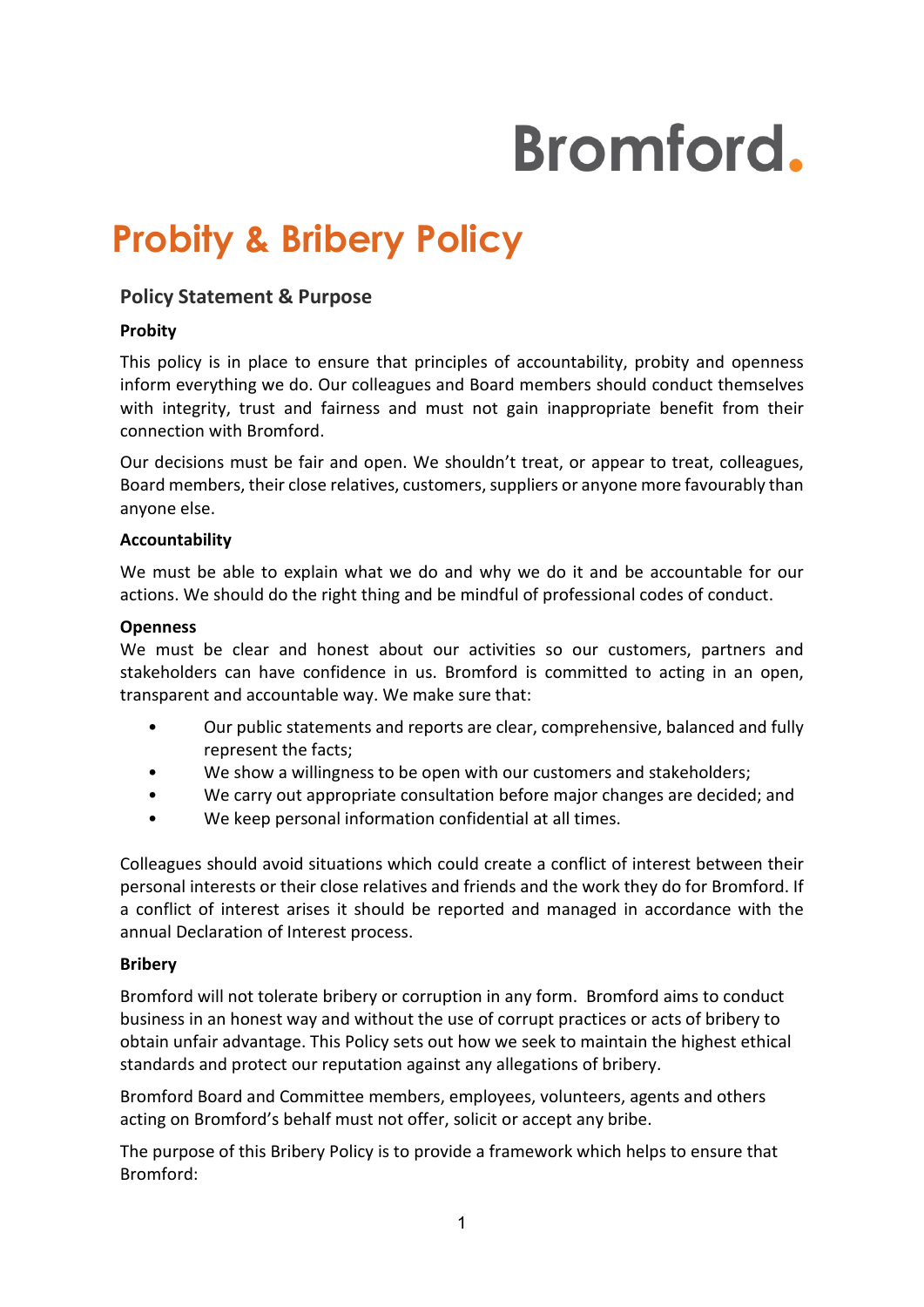# **Bromford.**

# **Probity & Bribery Policy**

## **Policy Statement & Purpose**

#### **Probity**

This policy is in place to ensure that principles of accountability, probity and openness inform everything we do. Our colleagues and Board members should conduct themselves with integrity, trust and fairness and must not gain inappropriate benefit from their connection with Bromford.

Our decisions must be fair and open. We shouldn't treat, or appear to treat, colleagues, Board members, their close relatives, customers, suppliers or anyone more favourably than anyone else.

#### **Accountability**

We must be able to explain what we do and why we do it and be accountable for our actions. We should do the right thing and be mindful of professional codes of conduct.

#### **Openness**

We must be clear and honest about our activities so our customers, partners and stakeholders can have confidence in us. Bromford is committed to acting in an open, transparent and accountable way. We make sure that:

- Our public statements and reports are clear, comprehensive, balanced and fully represent the facts;
- We show a willingness to be open with our customers and stakeholders;
- We carry out appropriate consultation before major changes are decided; and
- We keep personal information confidential at all times.

Colleagues should avoid situations which could create a conflict of interest between their personal interests or their close relatives and friends and the work they do for Bromford. If a conflict of interest arises it should be reported and managed in accordance with the annual Declaration of Interest process.

#### **Bribery**

Bromford will not tolerate bribery or corruption in any form. Bromford aims to conduct business in an honest way and without the use of corrupt practices or acts of bribery to obtain unfair advantage. This Policy sets out how we seek to maintain the highest ethical standards and protect our reputation against any allegations of bribery.

Bromford Board and Committee members, employees, volunteers, agents and others acting on Bromford's behalf must not offer, solicit or accept any bribe.

The purpose of this Bribery Policy is to provide a framework which helps to ensure that Bromford: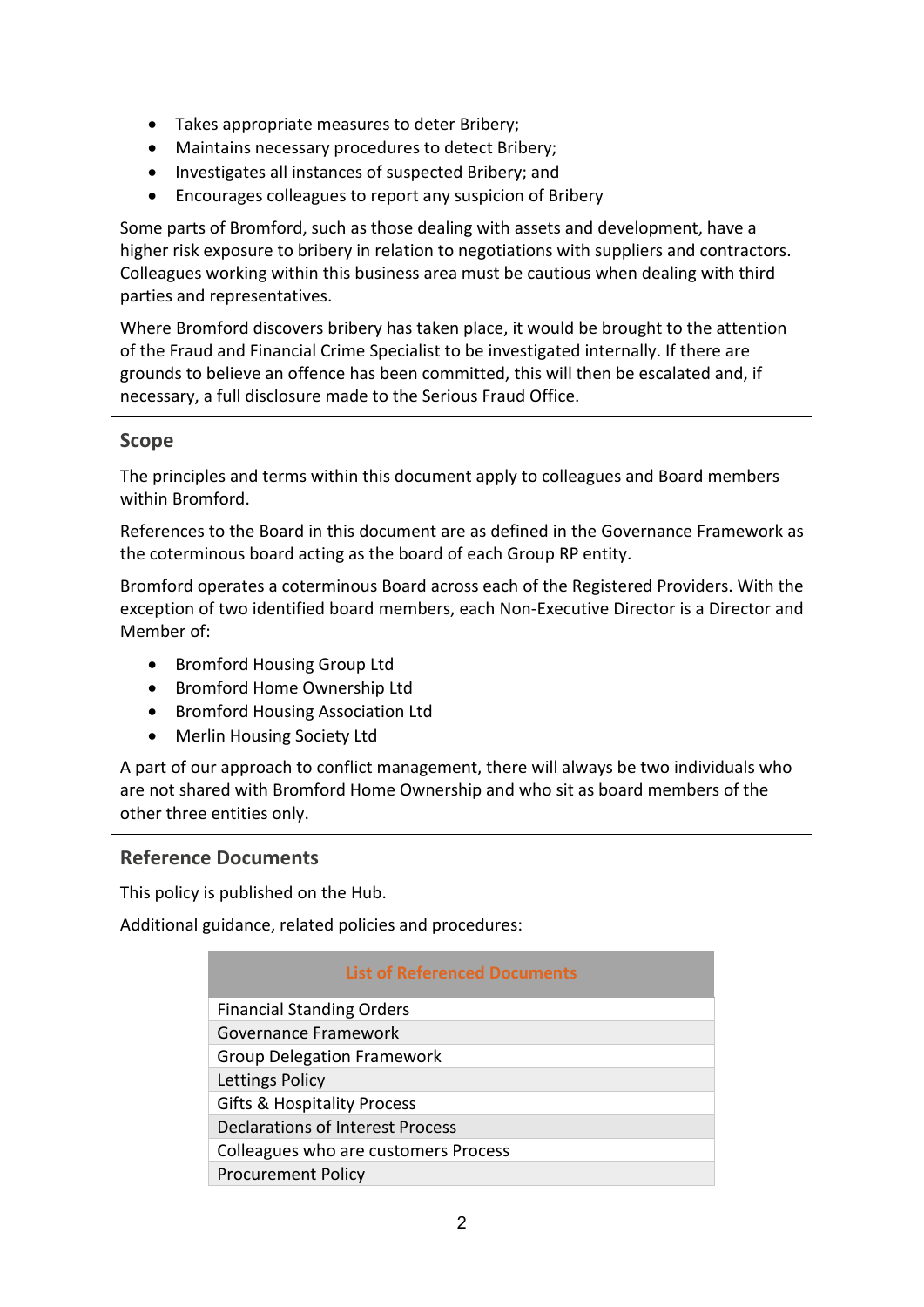- Takes appropriate measures to deter Bribery;
- Maintains necessary procedures to detect Bribery;
- Investigates all instances of suspected Bribery; and
- Encourages colleagues to report any suspicion of Bribery

Some parts of Bromford, such as those dealing with assets and development, have a higher risk exposure to bribery in relation to negotiations with suppliers and contractors. Colleagues working within this business area must be cautious when dealing with third parties and representatives.

Where Bromford discovers bribery has taken place, it would be brought to the attention of the Fraud and Financial Crime Specialist to be investigated internally. If there are grounds to believe an offence has been committed, this will then be escalated and, if necessary, a full disclosure made to the Serious Fraud Office.

### **Scope**

The principles and terms within this document apply to colleagues and Board members within Bromford.

References to the Board in this document are as defined in the Governance Framework as the coterminous board acting as the board of each Group RP entity.

Bromford operates a coterminous Board across each of the Registered Providers. With the exception of two identified board members, each Non-Executive Director is a Director and Member of:

- Bromford Housing Group Ltd
- Bromford Home Ownership Ltd
- Bromford Housing Association Ltd
- Merlin Housing Society Ltd

A part of our approach to conflict management, there will always be two individuals who are not shared with Bromford Home Ownership and who sit as board members of the other three entities only.

# **Reference Documents**

This policy is published on the Hub.

Additional guidance, related policies and procedures:

| <b>List of Referenced Documents</b>     |
|-----------------------------------------|
| <b>Financial Standing Orders</b>        |
| Governance Framework                    |
| <b>Group Delegation Framework</b>       |
| Lettings Policy                         |
| <b>Gifts &amp; Hospitality Process</b>  |
| <b>Declarations of Interest Process</b> |
| Colleagues who are customers Process    |
| <b>Procurement Policy</b>               |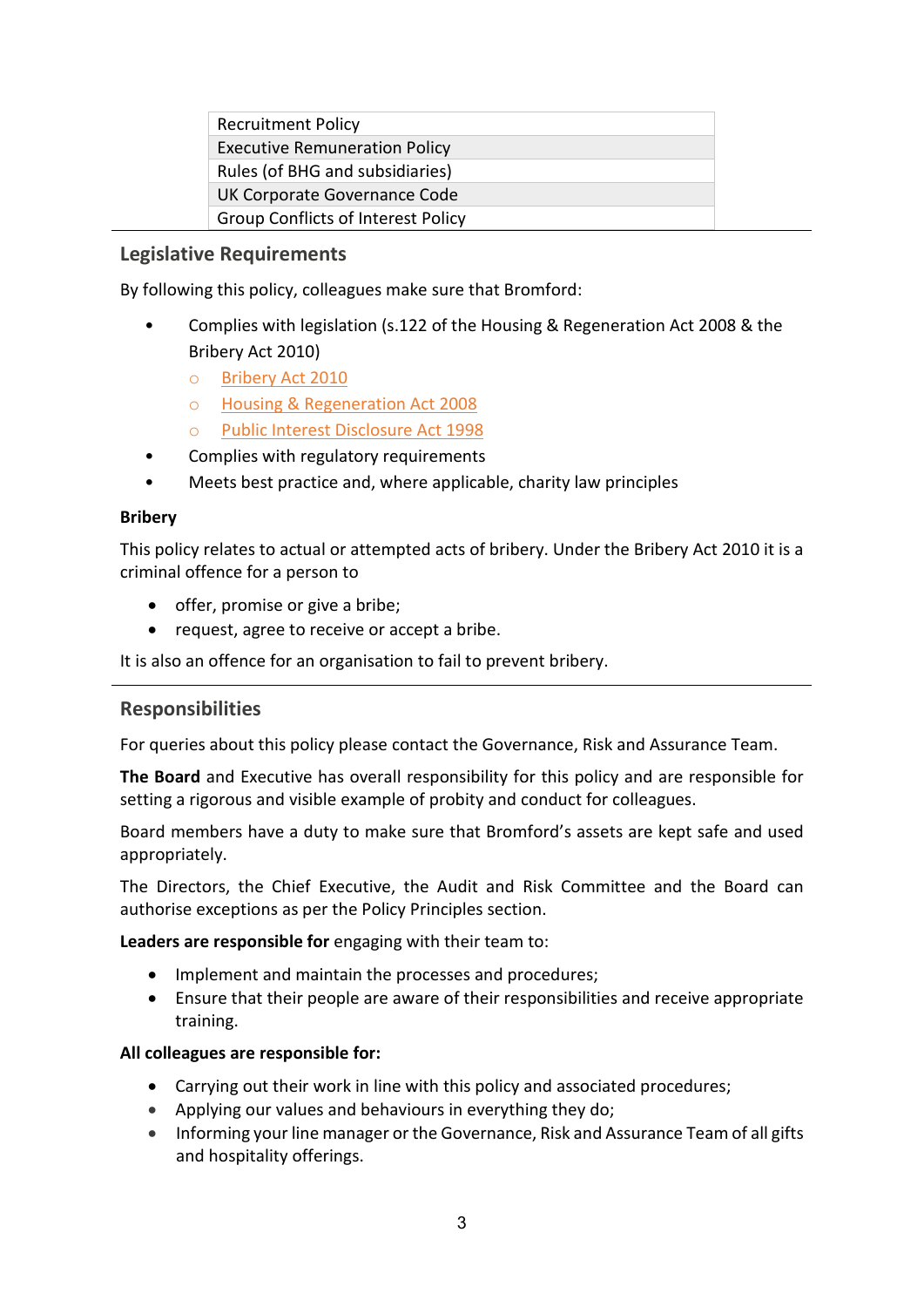| <b>Recruitment Policy</b>                 |  |
|-------------------------------------------|--|
| <b>Executive Remuneration Policy</b>      |  |
| Rules (of BHG and subsidiaries)           |  |
| UK Corporate Governance Code              |  |
| <b>Group Conflicts of Interest Policy</b> |  |

#### **Legislative Requirements**

By following this policy, colleagues make sure that Bromford:

- Complies with legislation (s.122 of the Housing & Regeneration Act 2008 & the Bribery Act 2010)
	- o Bribery Act 2010
	- o [Housing & Regeneration Act 2008](http://www.legislation.gov.uk/ukpga/2008/17/contents)
	- o [Public Interest Disclosure Act 1998](http://www.legislation.gov.uk/ukpga/1998/23/contents)
- Complies with regulatory requirements
- Meets best practice and, where applicable, charity law principles

#### **Bribery**

This policy relates to actual or attempted acts of bribery. Under the Bribery Act 2010 it is a criminal offence for a person to

- offer, promise or give a bribe;
- request, agree to receive or accept a bribe.

It is also an offence for an organisation to fail to prevent bribery.

#### **Responsibilities**

For queries about this policy please contact the Governance, Risk and Assurance Team.

**The Board** and Executive has overall responsibility for this policy and are responsible for setting a rigorous and visible example of probity and conduct for colleagues.

Board members have a duty to make sure that Bromford's assets are kept safe and used appropriately.

The Directors, the Chief Executive, the Audit and Risk Committee and the Board can authorise exceptions as per the Policy Principles section.

**Leaders are responsible for** engaging with their team to:

- Implement and maintain the processes and procedures;
- Ensure that their people are aware of their responsibilities and receive appropriate training.

#### **All colleagues are responsible for:**

- Carrying out their work in line with this policy and associated procedures;
- Applying our values and behaviours in everything they do;
- Informing your line manager or the Governance, Risk and Assurance Team of all gifts and hospitality offerings.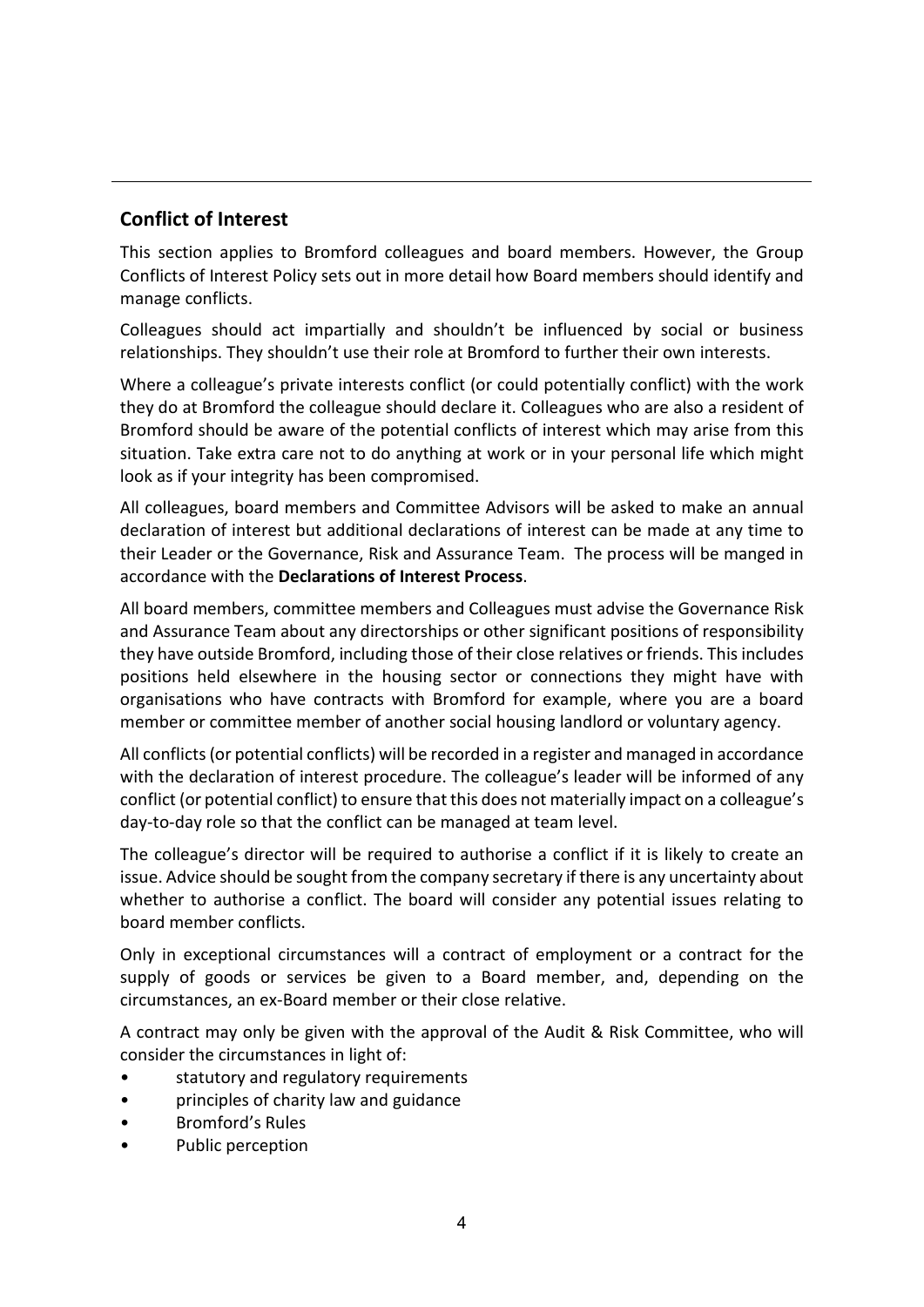# **Conflict of Interest**

This section applies to Bromford colleagues and board members. However, the Group Conflicts of Interest Policy sets out in more detail how Board members should identify and manage conflicts.

Colleagues should act impartially and shouldn't be influenced by social or business relationships. They shouldn't use their role at Bromford to further their own interests.

Where a colleague's private interests conflict (or could potentially conflict) with the work they do at Bromford the colleague should declare it. Colleagues who are also a resident of Bromford should be aware of the potential conflicts of interest which may arise from this situation. Take extra care not to do anything at work or in your personal life which might look as if your integrity has been compromised.

All colleagues, board members and Committee Advisors will be asked to make an annual declaration of interest but additional declarations of interest can be made at any time to their Leader or the Governance, Risk and Assurance Team. The process will be manged in accordance with the **Declarations of Interest Process**.

All board members, committee members and Colleagues must advise the Governance Risk and Assurance Team about any directorships or other significant positions of responsibility they have outside Bromford, including those of their close relatives or friends. This includes positions held elsewhere in the housing sector or connections they might have with organisations who have contracts with Bromford for example, where you are a board member or committee member of another social housing landlord or voluntary agency.

All conflicts (or potential conflicts) will be recorded in a register and managed in accordance with the declaration of interest procedure. The colleague's leader will be informed of any conflict (or potential conflict) to ensure that this does not materially impact on a colleague's day-to-day role so that the conflict can be managed at team level.

The colleague's director will be required to authorise a conflict if it is likely to create an issue. Advice should be sought from the company secretary if there is any uncertainty about whether to authorise a conflict. The board will consider any potential issues relating to board member conflicts.

Only in exceptional circumstances will a contract of employment or a contract for the supply of goods or services be given to a Board member, and, depending on the circumstances, an ex-Board member or their close relative.

A contract may only be given with the approval of the Audit & Risk Committee, who will consider the circumstances in light of:

- statutory and regulatory requirements
- principles of charity law and guidance
- Bromford's Rules
- Public perception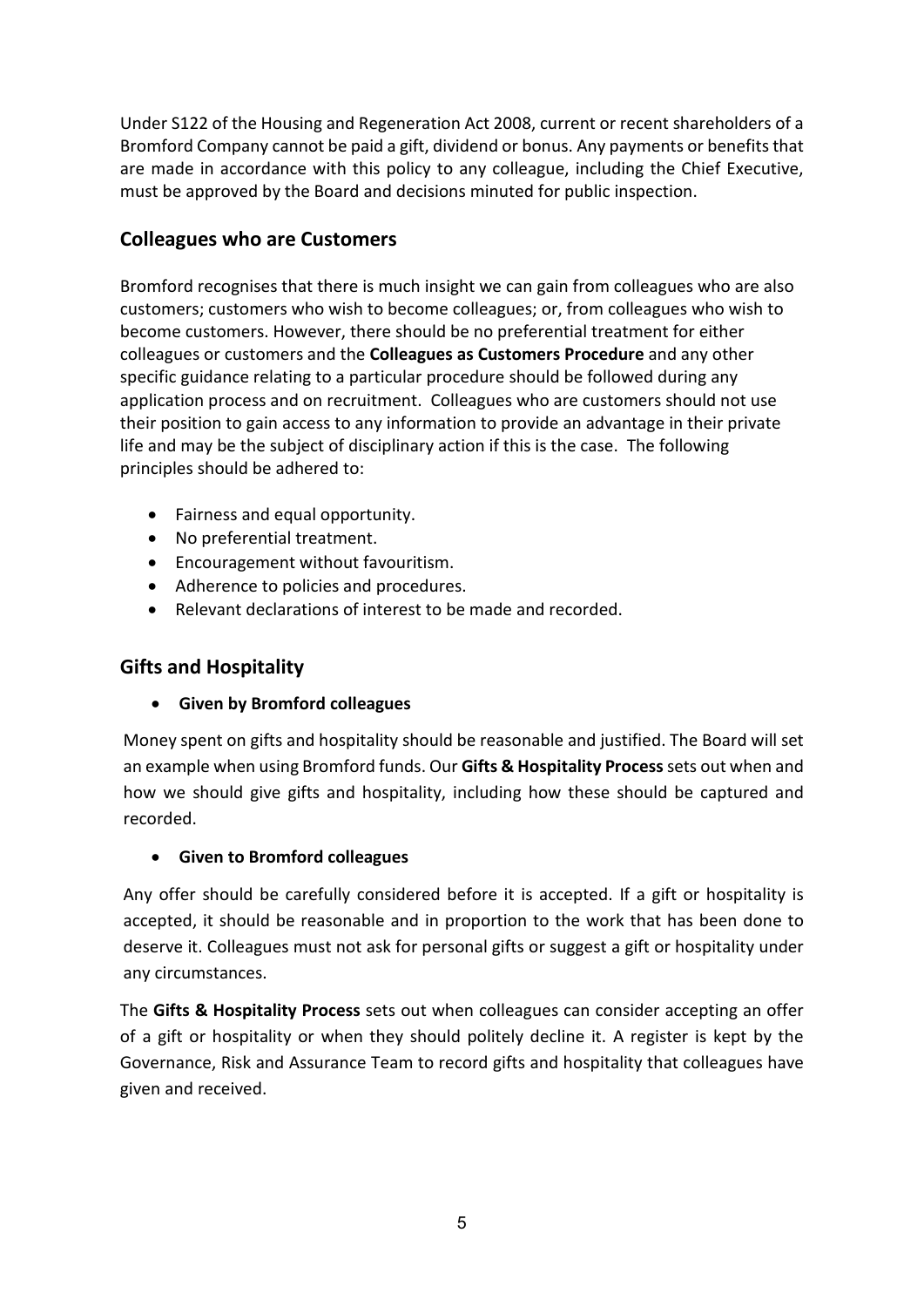Under S122 of the Housing and Regeneration Act 2008, current or recent shareholders of a Bromford Company cannot be paid a gift, dividend or bonus. Any payments or benefits that are made in accordance with this policy to any colleague, including the Chief Executive, must be approved by the Board and decisions minuted for public inspection.

# **Colleagues who are Customers**

Bromford recognises that there is much insight we can gain from colleagues who are also customers; customers who wish to become colleagues; or, from colleagues who wish to become customers. However, there should be no preferential treatment for either colleagues or customers and the **Colleagues as Customers Procedure** and any other specific guidance relating to a particular procedure should be followed during any application process and on recruitment. Colleagues who are customers should not use their position to gain access to any information to provide an advantage in their private life and may be the subject of disciplinary action if this is the case. The following principles should be adhered to:

- Fairness and equal opportunity.
- No preferential treatment.
- Encouragement without favouritism.
- Adherence to policies and procedures.
- Relevant declarations of interest to be made and recorded.

# **Gifts and Hospitality**

# • **Given by Bromford colleagues**

Money spent on gifts and hospitality should be reasonable and justified. The Board will set an example when using Bromford funds. Our **Gifts & Hospitality Process**sets out when and how we should give gifts and hospitality, including how these should be captured and recorded.

# • **Given to Bromford colleagues**

Any offer should be carefully considered before it is accepted. If a gift or hospitality is accepted, it should be reasonable and in proportion to the work that has been done to deserve it. Colleagues must not ask for personal gifts or suggest a gift or hospitality under any circumstances.

The **Gifts & Hospitality Process** sets out when colleagues can consider accepting an offer of a gift or hospitality or when they should politely decline it. A register is kept by the Governance, Risk and Assurance Team to record gifts and hospitality that colleagues have given and received.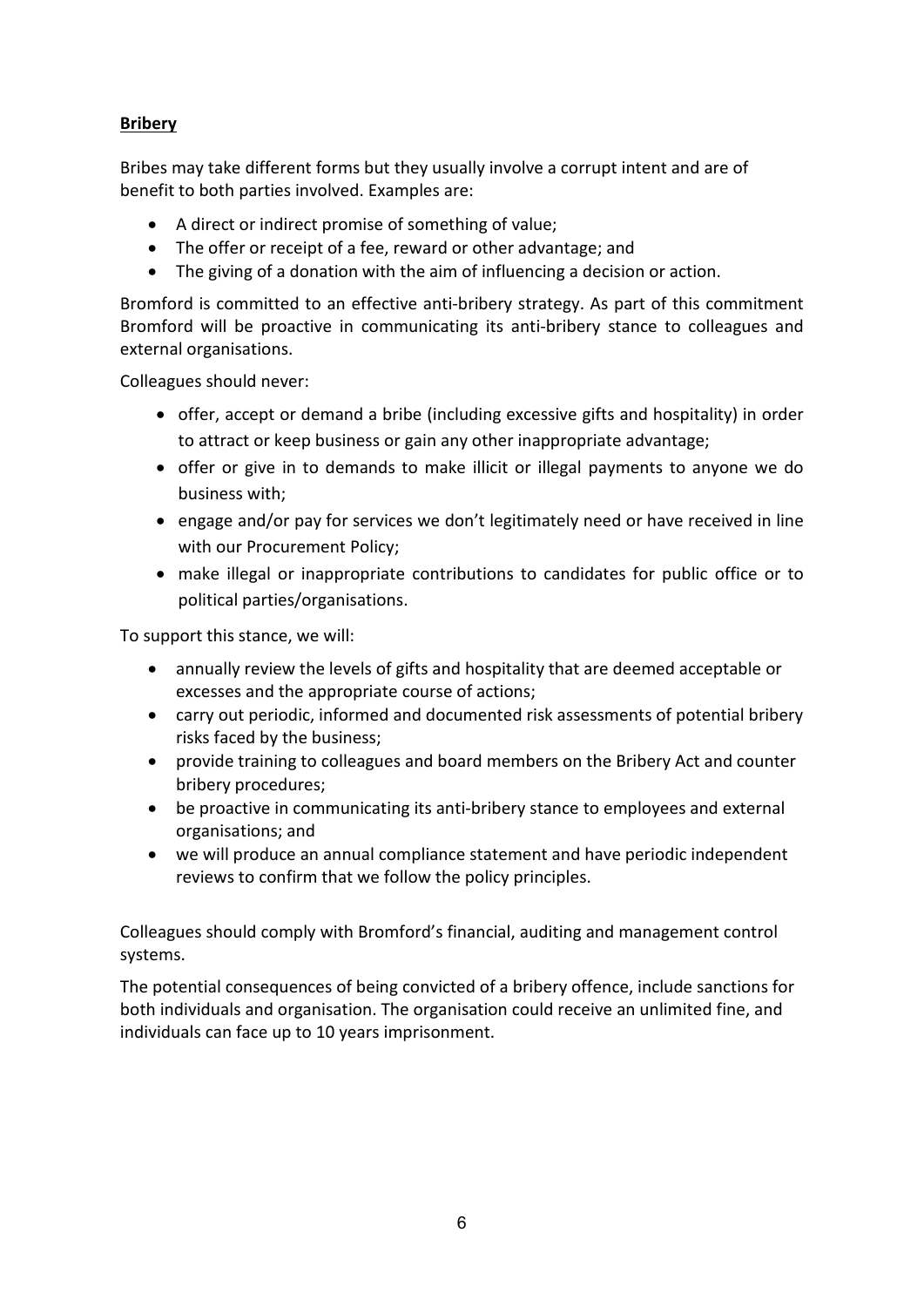# **Bribery**

Bribes may take different forms but they usually involve a corrupt intent and are of benefit to both parties involved. Examples are:

- A direct or indirect promise of something of value;
- The offer or receipt of a fee, reward or other advantage; and
- The giving of a donation with the aim of influencing a decision or action.

Bromford is committed to an effective anti-bribery strategy. As part of this commitment Bromford will be proactive in communicating its anti-bribery stance to colleagues and external organisations.

Colleagues should never:

- offer, accept or demand a bribe (including excessive gifts and hospitality) in order to attract or keep business or gain any other inappropriate advantage;
- offer or give in to demands to make illicit or illegal payments to anyone we do business with;
- engage and/or pay for services we don't legitimately need or have received in line with our Procurement Policy;
- make illegal or inappropriate contributions to candidates for public office or to political parties/organisations.

To support this stance, we will:

- annually review the levels of gifts and hospitality that are deemed acceptable or excesses and the appropriate course of actions;
- carry out periodic, informed and documented risk assessments of potential bribery risks faced by the business;
- provide training to colleagues and board members on the Bribery Act and counter bribery procedures;
- be proactive in communicating its anti-bribery stance to employees and external organisations; and
- we will produce an annual compliance statement and have periodic independent reviews to confirm that we follow the policy principles.

Colleagues should comply with Bromford's financial, auditing and management control systems.

The potential consequences of being convicted of a bribery offence, include sanctions for both individuals and organisation. The organisation could receive an unlimited fine, and individuals can face up to 10 years imprisonment.